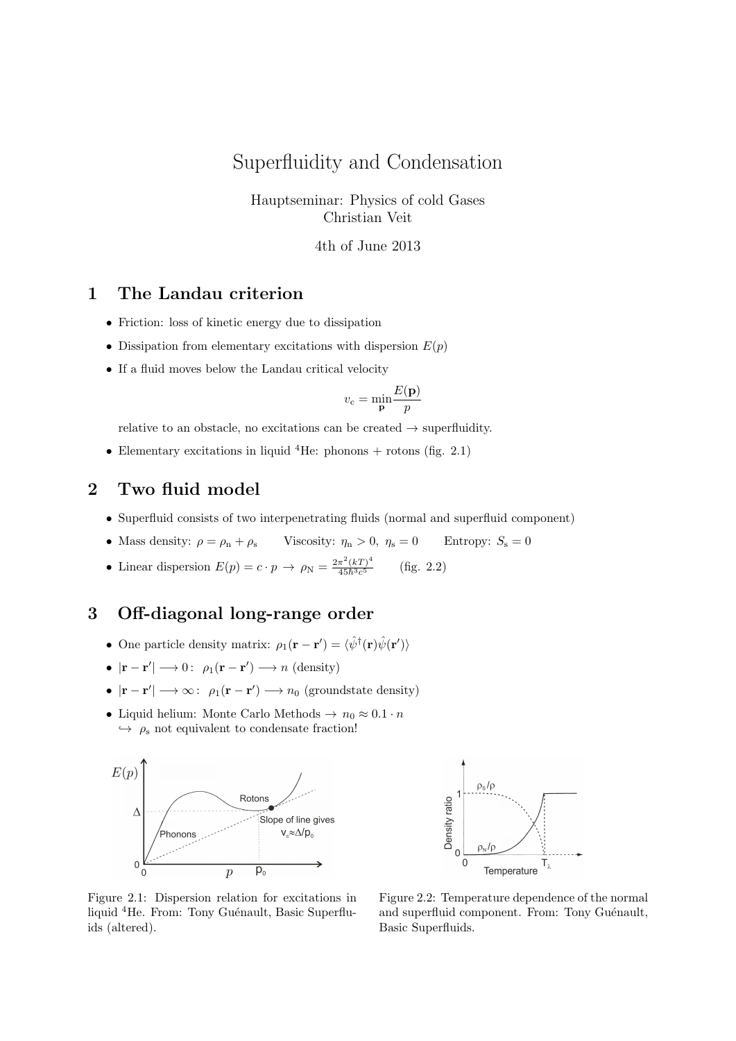# Superfluidity and Condensation

Hauptseminar: Physics of cold Gases Christian Veit

4th of June 2013

### 1 The Landau criterion

- Friction: loss of kinetic energy due to dissipation
- Dissipation from elementary excitations with dispersion  $E(p)$
- If a fluid moves below the Landau critical velocity

$$
v_{\rm c} = \min_{\mathbf{p}} \frac{E(\mathbf{p})}{p}
$$

relative to an obstacle, no excitations can be created  $\rightarrow$  superfluidity.

• Elementary excitations in liquid <sup>4</sup>He: phonons + rotons (fig. 2.1)

## 2 Two fluid model

- Superfluid consists of two interpenetrating fluids (normal and superfluid component)
- Mass density:  $\rho = \rho_n + \rho_s$  Viscosity:  $\eta_n > 0$ ,  $\eta_s = 0$  Entropy:  $S_s = 0$
- Linear dispersion  $E(p) = c \cdot p \rightarrow \rho_N = \frac{2\pi^2 (kT)^4}{45b^3c^5}$  $\overline{45\hbar^3c}$ (fig.  $2.2$ )

#### 3 Off-diagonal long-range order

- One particle density matrix:  $\rho_1(\mathbf{r} \mathbf{r}') = \langle \hat{\psi}^\dagger(\mathbf{r}) \hat{\psi}(\mathbf{r}') \rangle$
- $|\mathbf{r} \mathbf{r}'| \longrightarrow 0$ :  $\rho_1(\mathbf{r} \mathbf{r}') \longrightarrow n$  (density)
- $|\mathbf{r} \mathbf{r}'| \longrightarrow \infty$ :  $\rho_1(\mathbf{r} \mathbf{r}') \longrightarrow n_0$  (groundstate density)
- Liquid helium: Monte Carlo Methods  $\rightarrow n_0 \approx 0.1 \cdot n$  $\leftrightarrow \rho_s$  not equivalent to condensate fraction!





Figure 2.1: Dispersion relation for excitations in liquid <sup>4</sup>He. From: Tony Guénault, Basic Superfluids (altered).

Figure 2.2: Temperature dependence of the normal and superfluid component. From: Tony Guénault, Basic Superfluids.